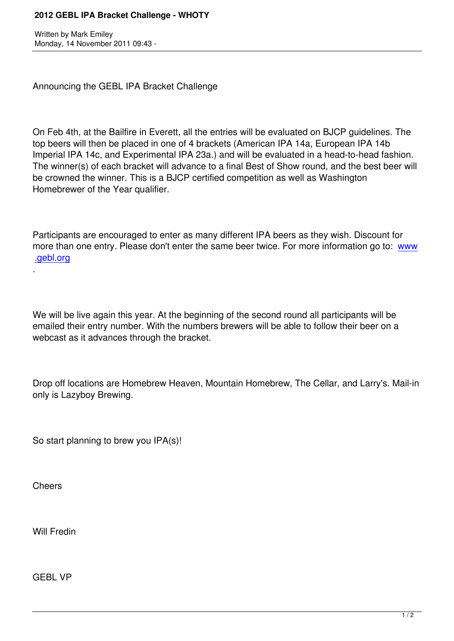Announcing the GEBL IPA Bracket Challenge

On Feb 4th, at the Bailfire in Everett, all the entries will be evaluated on BJCP guidelines. The top beers will then be placed in one of 4 brackets (American IPA 14a, European IPA 14b Imperial IPA 14c, and Experimental IPA 23a.) and will be evaluated in a head-to-head fashion. The winner(s) of each bracket will advance to a final Best of Show round, and the best beer will be crowned the winner. This is a BJCP certified competition as well as Washington Homebrewer of the Year qualifier.

Participants are encouraged to enter as many different IPA beers as they wish. Discount for more than one entry. Please don't enter the same beer twice. For more information go to: www .gebl.org

We will be live again this year. At the beginning of the second round all participants will be emailed their entry number. With the numbers brewers will be able to follow their beer on a webcast as it advances through the bracket.

Drop off locations are Homebrew Heaven, Mountain Homebrew, The Cellar, and Larry's. Mail-in only is Lazyboy Brewing.

So start planning to brew you IPA(s)!

**Cheers** 

.

Will Fredin

GEBL VP